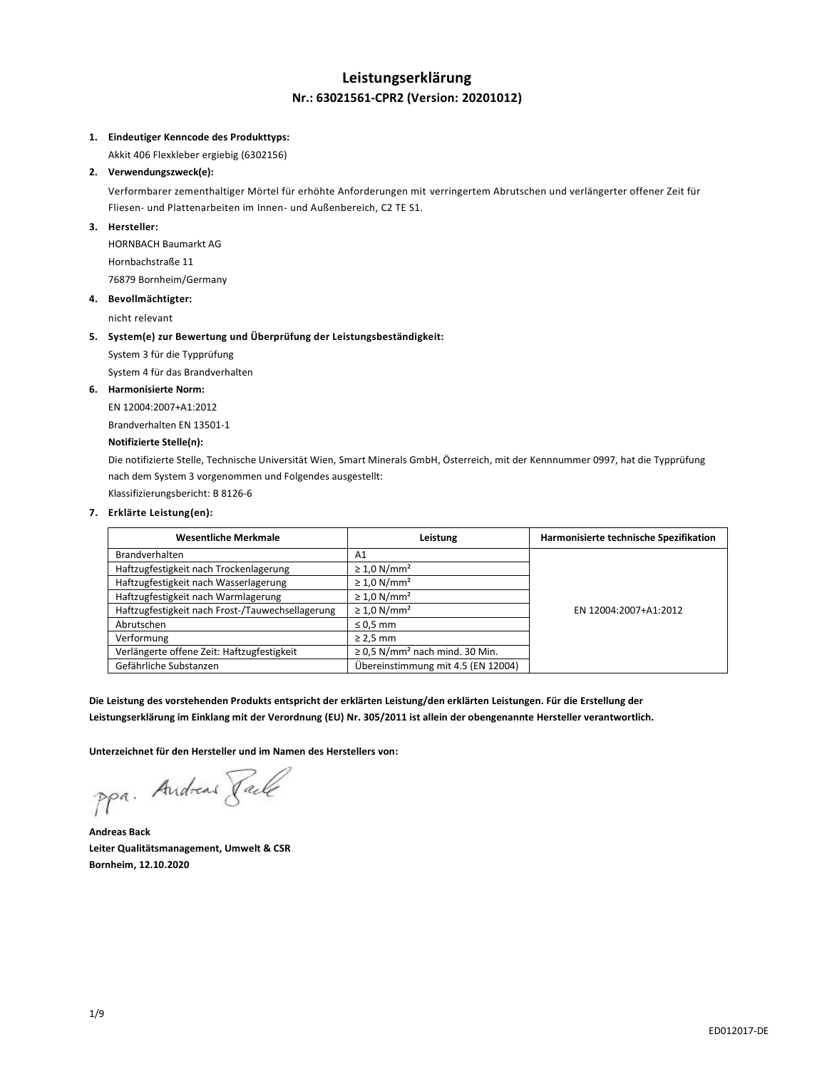## **Leistungserklärung Nr.: 63021561-CPR2 (Version: 20201012)**

#### **1. Eindeutiger Kenncode des Produkttyps:**

Akkit 406 Flexkleber ergiebig (6302156)

## **2. Verwendungszweck(e):**

Verformbarer zementhaltiger Mörtel für erhöhte Anforderungen mit verringertem Abrutschen und verlängerter offener Zeit für Fliesen- und Plattenarbeiten im Innen- und Außenbereich, C2 TE S1.

## **3. Hersteller:**

HORNBACH Baumarkt AG Hornbachstraße 11 76879 Bornheim/Germany

#### **4. Bevollmächtigter:**

nicht relevant

#### **5. System(e) zur Bewertung und Überprüfung der Leistungsbeständigkeit:**

System 3 für die Typprüfung

System 4 für das Brandverhalten

#### **6. Harmonisierte Norm:**

EN 12004:2007+A1:2012 Brandverhalten EN 13501-1

## **Notifizierte Stelle(n):**

Die notifizierte Stelle, Technische Universität Wien, Smart Minerals GmbH, Österreich, mit der Kennnummer 0997, hat die Typprüfung nach dem System 3 vorgenommen und Folgendes ausgestellt:

Klassifizierungsbericht: B 8126-6

## **7. Erklärte Leistung(en):**

| <b>Wesentliche Merkmale</b>                      | Leistung                                        | Harmonisierte technische Spezifikation |
|--------------------------------------------------|-------------------------------------------------|----------------------------------------|
| <b>Brandverhalten</b>                            | A1                                              |                                        |
| Haftzugfestigkeit nach Trockenlagerung           | $\geq 1.0$ N/mm <sup>2</sup>                    |                                        |
| Haftzugfestigkeit nach Wasserlagerung            | $\geq 1.0$ N/mm <sup>2</sup>                    |                                        |
| Haftzugfestigkeit nach Warmlagerung              | $\geq 1.0$ N/mm <sup>2</sup>                    |                                        |
| Haftzugfestigkeit nach Frost-/Tauwechsellagerung | $\geq 1.0$ N/mm <sup>2</sup>                    | EN 12004:2007+A1:2012                  |
| Abrutschen                                       | $\leq 0.5$ mm                                   |                                        |
| Verformung                                       | $\geq$ 2,5 mm                                   |                                        |
| Verlängerte offene Zeit: Haftzugfestigkeit       | $\geq$ 0,5 N/mm <sup>2</sup> nach mind. 30 Min. |                                        |
| Gefährliche Substanzen                           | Übereinstimmung mit 4.5 (EN 12004)              |                                        |

**Die Leistung des vorstehenden Produkts entspricht der erklärten Leistung/den erklärten Leistungen. Für die Erstellung der Leistungserklärung im Einklang mit der Verordnung (EU) Nr. 305/2011 ist allein der obengenannte Hersteller verantwortlich.**

**Unterzeichnet für den Hersteller und im Namen des Herstellers von:**

ppa. Andreas Facto

**Andreas Back Leiter Qualitätsmanagement, Umwelt & CSR Bornheim, 12.10.2020**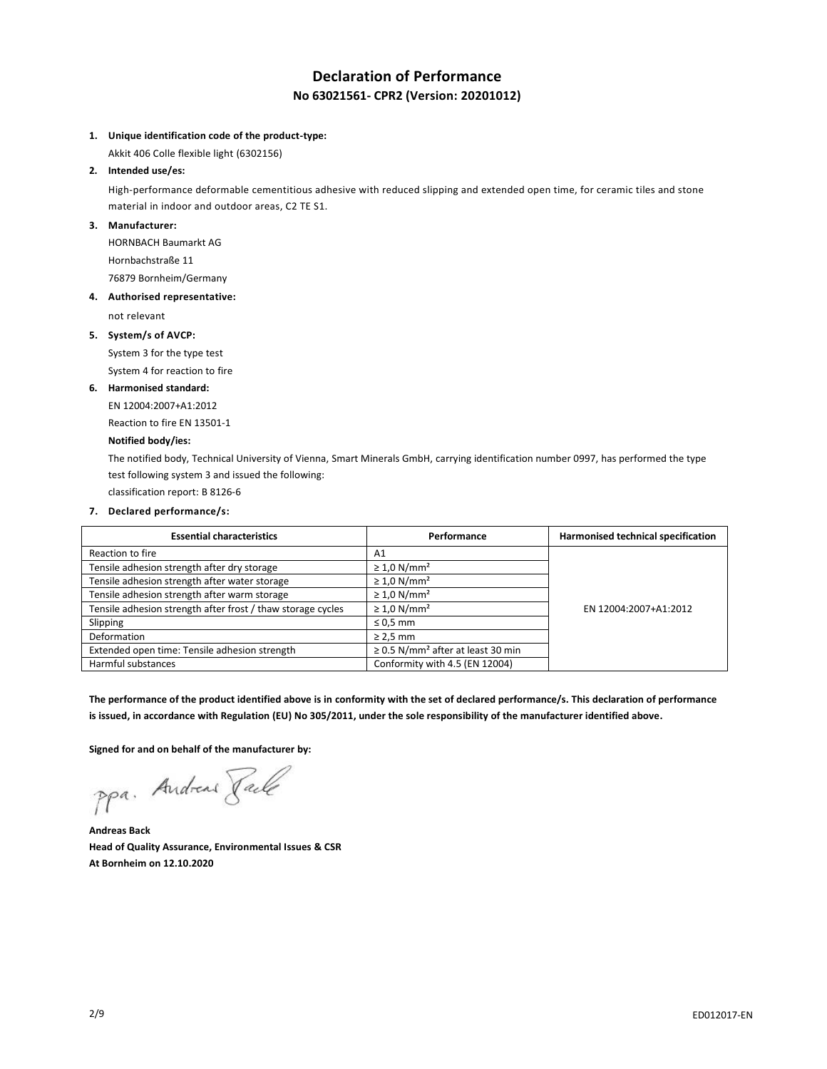# **Declaration of Performance No 63021561- CPR2 (Version: 20201012)**

### **1. Unique identification code of the product-type:**

Akkit 406 Colle flexible light (6302156)

### **2. Intended use/es:**

High-performance deformable cementitious adhesive with reduced slipping and extended open time, for ceramic tiles and stone material in indoor and outdoor areas, C2 TE S1.

#### **3. Manufacturer:**

HORNBACH Baumarkt AG Hornbachstraße 11 76879 Bornheim/Germany

## **4. Authorised representative:**

not relevant

## **5. System/s of AVCP:**

System 3 for the type test System 4 for reaction to fire

## **6. Harmonised standard:**

EN 12004:2007+A1:2012

Reaction to fire EN 13501-1

## **Notified body/ies:**

The notified body, Technical University of Vienna, Smart Minerals GmbH, carrying identification number 0997, has performed the type test following system 3 and issued the following:

classification report: B 8126-6

## **7. Declared performance/s:**

| <b>Essential characteristics</b>                            | Performance                                        | Harmonised technical specification |
|-------------------------------------------------------------|----------------------------------------------------|------------------------------------|
| Reaction to fire                                            | Α1                                                 |                                    |
| Tensile adhesion strength after dry storage                 | $\geq 1.0$ N/mm <sup>2</sup>                       |                                    |
| Tensile adhesion strength after water storage               | $\geq 1.0$ N/mm <sup>2</sup>                       |                                    |
| Tensile adhesion strength after warm storage                | $\geq 1.0$ N/mm <sup>2</sup>                       |                                    |
| Tensile adhesion strength after frost / thaw storage cycles | $\geq 1.0$ N/mm <sup>2</sup>                       | EN 12004:2007+A1:2012              |
| Slipping                                                    | $\leq 0.5$ mm                                      |                                    |
| Deformation                                                 | $\geq$ 2,5 mm                                      |                                    |
| Extended open time: Tensile adhesion strength               | $\geq$ 0.5 N/mm <sup>2</sup> after at least 30 min |                                    |
| Harmful substances                                          | Conformity with 4.5 (EN 12004)                     |                                    |

**The performance of the product identified above is in conformity with the set of declared performance/s. This declaration of performance is issued, in accordance with Regulation (EU) No 305/2011, under the sole responsibility of the manufacturer identified above.**

**Signed for and on behalf of the manufacturer by:**

ppa. Andreas Pale

**Andreas Back Head of Quality Assurance, Environmental Issues & CSR At Bornheim on 12.10.2020**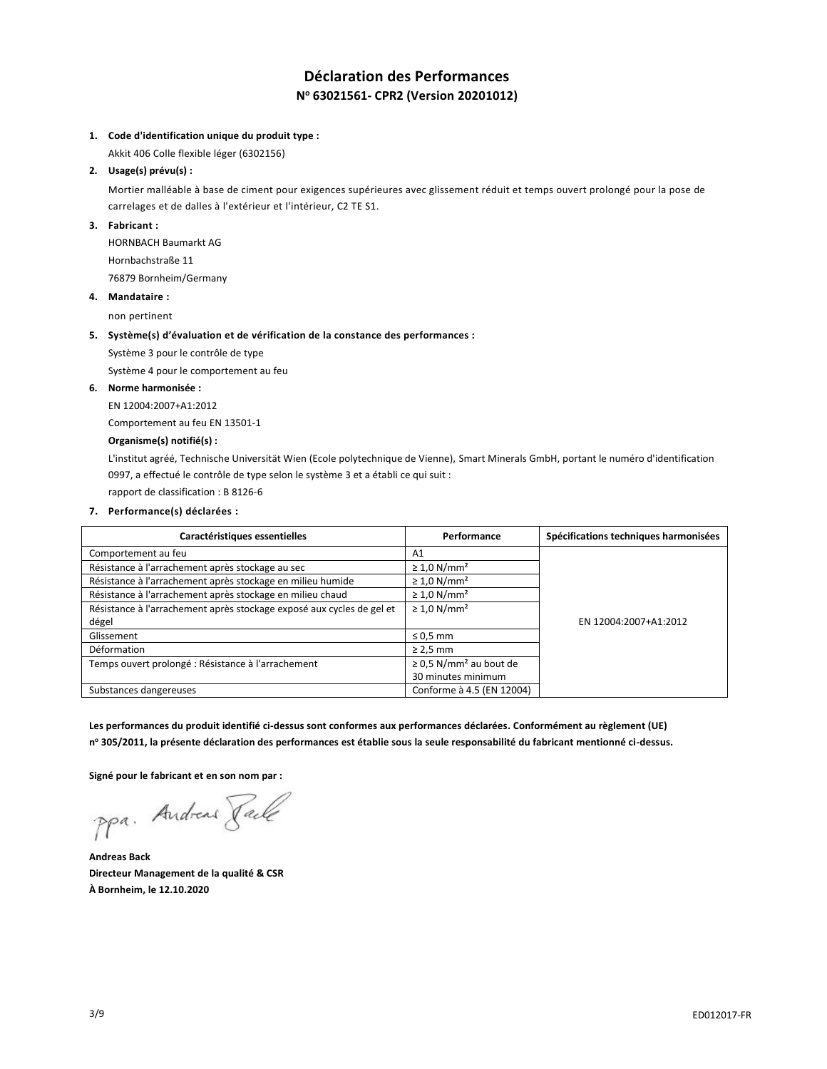# **Déclaration des Performances N <sup>o</sup> 63021561- CPR2 (Version 20201012)**

## **1. Code d'identification unique du produit type :**

Akkit 406 Colle flexible léger (6302156)

## **2. Usage(s) prévu(s) :**

Mortier malléable à base de ciment pour exigences supérieures avec glissement réduit et temps ouvert prolongé pour la pose de carrelages et de dalles à l'extérieur et l'intérieur, C2 TE S1.

### **3. Fabricant :**

HORNBACH Baumarkt AG Hornbachstraße 11 76879 Bornheim/Germany

## **4. Mandataire :**

non pertinent

#### **5. Système(s) d'évaluation et de vérification de la constance des performances :**

Système 3 pour le contrôle de type

Système 4 pour le comportement au feu

#### **6. Norme harmonisée :**

EN 12004:2007+A1:2012

Comportement au feu EN 13501-1

## **Organisme(s) notifié(s) :**

L'institut agréé, Technische Universität Wien (Ecole polytechnique de Vienne), Smart Minerals GmbH, portant le numéro d'identification 0997, a effectué le contrôle de type selon le système 3 et a établi ce qui suit :

rapport de classification : B 8126-6

## **7. Performance(s) déclarées :**

| Caractéristiques essentielles                                         | Performance                             | Spécifications techniques harmonisées |
|-----------------------------------------------------------------------|-----------------------------------------|---------------------------------------|
| Comportement au feu                                                   | A <sub>1</sub>                          |                                       |
| Résistance à l'arrachement après stockage au sec                      | $\geq 1.0$ N/mm <sup>2</sup>            |                                       |
| Résistance à l'arrachement après stockage en milieu humide            | $\geq 1.0$ N/mm <sup>2</sup>            |                                       |
| Résistance à l'arrachement après stockage en milieu chaud             | $\geq 1.0$ N/mm <sup>2</sup>            |                                       |
| Résistance à l'arrachement après stockage exposé aux cycles de gel et | $\geq 1.0$ N/mm <sup>2</sup>            |                                       |
| dégel                                                                 |                                         | EN 12004:2007+A1:2012                 |
| Glissement                                                            | $\leq 0.5$ mm                           |                                       |
| Déformation                                                           | $\geq$ 2,5 mm                           |                                       |
| Temps ouvert prolongé : Résistance à l'arrachement                    | $\geq$ 0.5 N/mm <sup>2</sup> au bout de |                                       |
|                                                                       | 30 minutes minimum                      |                                       |
| Substances dangereuses                                                | Conforme à 4.5 (EN 12004)               |                                       |

**Les performances du produit identifié ci-dessus sont conformes aux performances déclarées. Conformément au règlement (UE) n <sup>o</sup> 305/2011, la présente déclaration des performances est établie sous la seule responsabilité du fabricant mentionné ci-dessus.**

**Signé pour le fabricant et en son nom par :**

ppa. Andreas Pale

**Andreas Back Directeur Management de la qualité & CSR À Bornheim, le 12.10.2020**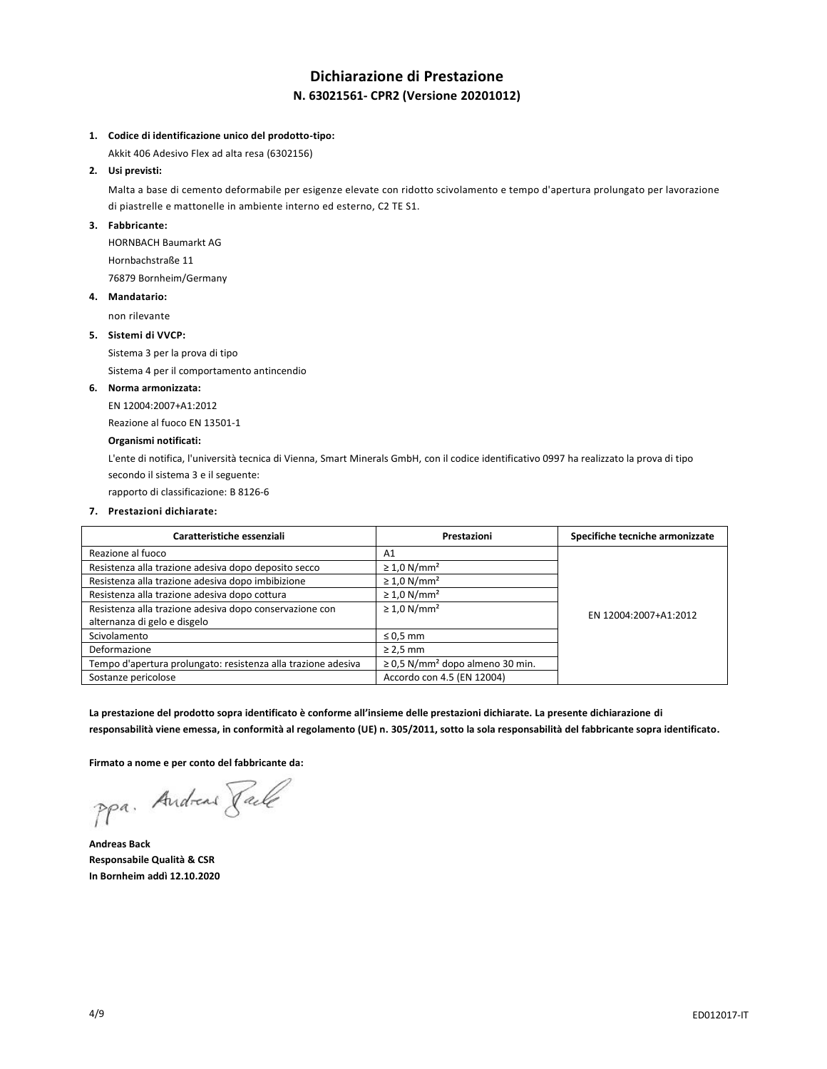## **Dichiarazione di Prestazione N. 63021561- CPR2 (Versione 20201012)**

### **1. Codice di identificazione unico del prodotto-tipo:**

Akkit 406 Adesivo Flex ad alta resa (6302156)

## **2. Usi previsti:**

Malta a base di cemento deformabile per esigenze elevate con ridotto scivolamento e tempo d'apertura prolungato per lavorazione di piastrelle e mattonelle in ambiente interno ed esterno, C2 TE S1.

## **3. Fabbricante:**

HORNBACH Baumarkt AG Hornbachstraße 11 76879 Bornheim/Germany

## **4. Mandatario:**

non rilevante

## **5. Sistemi di VVCP:**

Sistema 3 per la prova di tipo

Sistema 4 per il comportamento antincendio

#### **6. Norma armonizzata:**

EN 12004:2007+A1:2012

Reazione al fuoco EN 13501-1

### **Organismi notificati:**

L'ente di notifica, l'università tecnica di Vienna, Smart Minerals GmbH, con il codice identificativo 0997 ha realizzato la prova di tipo secondo il sistema 3 e il seguente:

rapporto di classificazione: B 8126-6

### **7. Prestazioni dichiarate:**

| Caratteristiche essenziali                                    | Prestazioni                                      | Specifiche tecniche armonizzate |
|---------------------------------------------------------------|--------------------------------------------------|---------------------------------|
| Reazione al fuoco                                             | A <sub>1</sub>                                   |                                 |
| Resistenza alla trazione adesiva dopo deposito secco          | $\geq 1.0$ N/mm <sup>2</sup>                     |                                 |
| Resistenza alla trazione adesiva dopo imbibizione             | $\geq 1.0$ N/mm <sup>2</sup>                     |                                 |
| Resistenza alla trazione adesiva dopo cottura                 | $\geq 1.0$ N/mm <sup>2</sup>                     |                                 |
| Resistenza alla trazione adesiva dopo conservazione con       | $\geq 1.0$ N/mm <sup>2</sup>                     | EN 12004:2007+A1:2012           |
| alternanza di gelo e disgelo                                  |                                                  |                                 |
| Scivolamento                                                  | $\leq 0.5$ mm                                    |                                 |
| Deformazione                                                  | $\geq$ 2,5 mm                                    |                                 |
| Tempo d'apertura prolungato: resistenza alla trazione adesiva | $\geq$ 0,5 N/mm <sup>2</sup> dopo almeno 30 min. |                                 |
| Sostanze pericolose                                           | Accordo con 4.5 (EN 12004)                       |                                 |

**La prestazione del prodotto sopra identificato è conforme all'insieme delle prestazioni dichiarate. La presente dichiarazione di responsabilità viene emessa, in conformità al regolamento (UE) n. 305/2011, sotto la sola responsabilità del fabbricante sopra identificato.**

**Firmato a nome e per conto del fabbricante da:**

ppa. Andreas Face

**Andreas Back Responsabile Qualità & CSR In Bornheim addì 12.10.2020**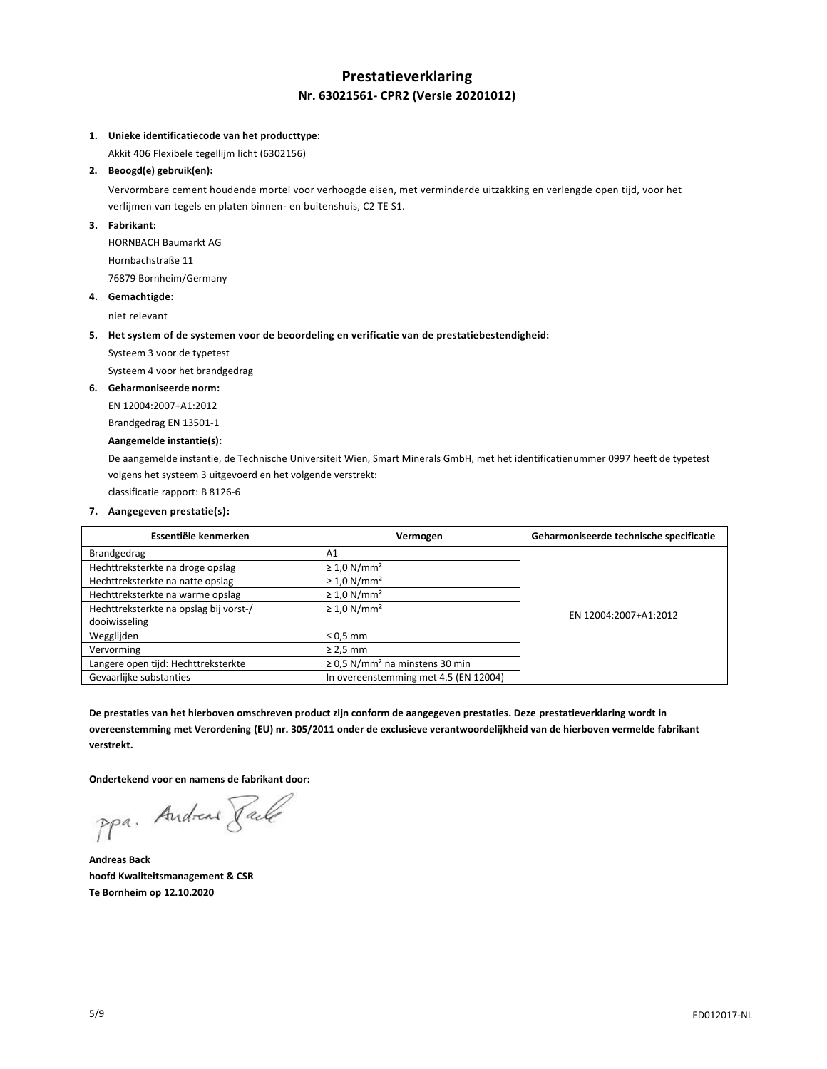## **Prestatieverklaring Nr. 63021561- CPR2 (Versie 20201012)**

## **1. Unieke identificatiecode van het producttype:**

Akkit 406 Flexibele tegellijm licht (6302156)

## **2. Beoogd(e) gebruik(en):**

Vervormbare cement houdende mortel voor verhoogde eisen, met verminderde uitzakking en verlengde open tijd, voor het verlijmen van tegels en platen binnen- en buitenshuis, C2 TE S1.

## **3. Fabrikant:**

HORNBACH Baumarkt AG Hornbachstraße 11 76879 Bornheim/Germany

## **4. Gemachtigde:**

niet relevant

#### **5. Het system of de systemen voor de beoordeling en verificatie van de prestatiebestendigheid:**

Systeem 3 voor de typetest

Systeem 4 voor het brandgedrag

#### **6. Geharmoniseerde norm:**

EN 12004:2007+A1:2012

Brandgedrag EN 13501-1

## **Aangemelde instantie(s):**

De aangemelde instantie, de Technische Universiteit Wien, Smart Minerals GmbH, met het identificatienummer 0997 heeft de typetest volgens het systeem 3 uitgevoerd en het volgende verstrekt:

classificatie rapport: B 8126-6

## **7. Aangegeven prestatie(s):**

| Essentiële kenmerken                   | Vermogen                                        | Geharmoniseerde technische specificatie |
|----------------------------------------|-------------------------------------------------|-----------------------------------------|
| Brandgedrag                            | A1                                              |                                         |
| Hechttreksterkte na droge opslag       | $\geq 1.0$ N/mm <sup>2</sup>                    |                                         |
| Hechttreksterkte na natte opslag       | $\geq 1.0$ N/mm <sup>2</sup>                    |                                         |
| Hechttreksterkte na warme opslag       | $\geq 1.0$ N/mm <sup>2</sup>                    |                                         |
| Hechttreksterkte na opslag bij vorst-/ | $\geq 1.0$ N/mm <sup>2</sup>                    | EN 12004:2007+A1:2012                   |
| dooiwisseling                          |                                                 |                                         |
| Wegglijden                             | $\leq 0.5$ mm                                   |                                         |
| Vervorming                             | $\geq$ 2,5 mm                                   |                                         |
| Langere open tijd: Hechttreksterkte    | $\geq$ 0.5 N/mm <sup>2</sup> na minstens 30 min |                                         |
| Gevaarlijke substanties                | In overeenstemming met 4.5 (EN 12004)           |                                         |

**De prestaties van het hierboven omschreven product zijn conform de aangegeven prestaties. Deze prestatieverklaring wordt in overeenstemming met Verordening (EU) nr. 305/2011 onder de exclusieve verantwoordelijkheid van de hierboven vermelde fabrikant verstrekt.**

**Ondertekend voor en namens de fabrikant door:**

ppa. Andreas Pale

**Andreas Back hoofd Kwaliteitsmanagement & CSR Te Bornheim op 12.10.2020**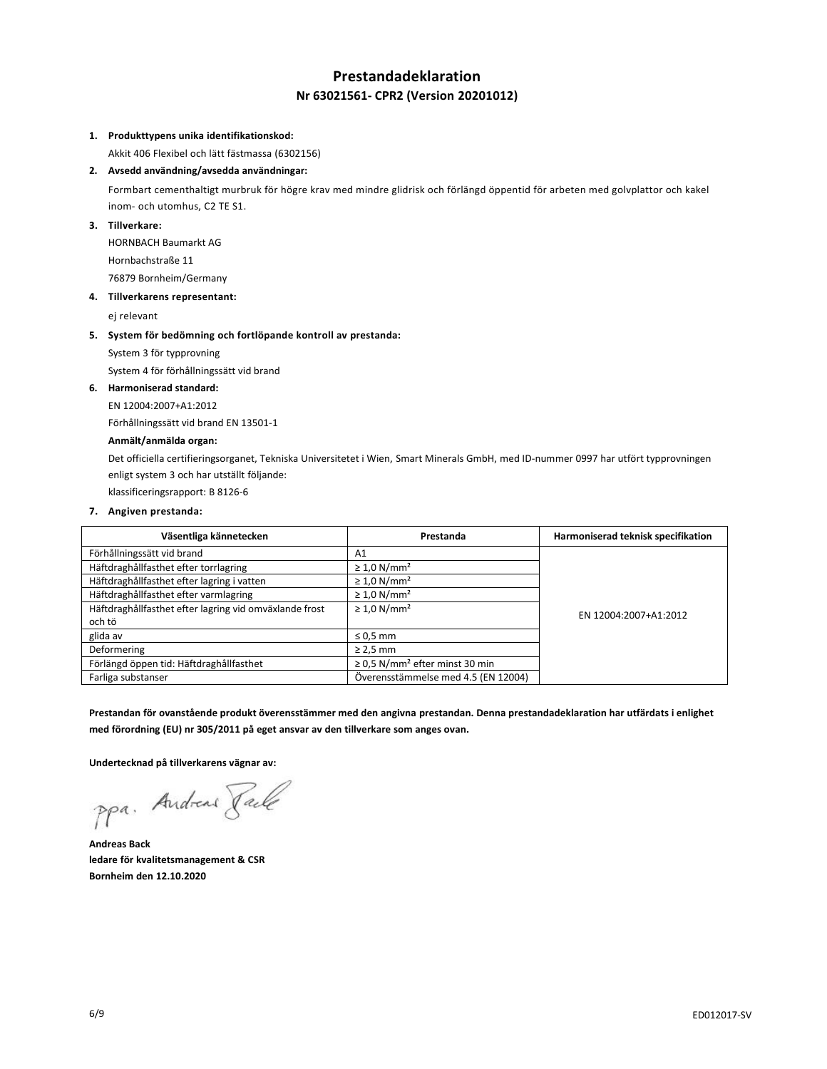# **Prestandadeklaration Nr 63021561- CPR2 (Version 20201012)**

### **1. Produkttypens unika identifikationskod:**

Akkit 406 Flexibel och lätt fästmassa (6302156)

## **2. Avsedd användning/avsedda användningar:**

Formbart cementhaltigt murbruk för högre krav med mindre glidrisk och förlängd öppentid för arbeten med golvplattor och kakel inom- och utomhus, C2 TE S1.

## **3. Tillverkare:**

HORNBACH Baumarkt AG Hornbachstraße 11 76879 Bornheim/Germany

## **4. Tillverkarens representant:**

ej relevant

### **5. System för bedömning och fortlöpande kontroll av prestanda:**

System 3 för typprovning

System 4 för förhållningssätt vid brand

#### **6. Harmoniserad standard:**

EN 12004:2007+A1:2012

Förhållningssätt vid brand EN 13501-1

## **Anmält/anmälda organ:**

Det officiella certifieringsorganet, Tekniska Universitetet i Wien, Smart Minerals GmbH, med ID-nummer 0997 har utfört typprovningen enligt system 3 och har utställt följande:

klassificeringsrapport: B 8126-6

## **7. Angiven prestanda:**

| Väsentliga kännetecken                                 | Prestanda                                       | Harmoniserad teknisk specifikation |
|--------------------------------------------------------|-------------------------------------------------|------------------------------------|
| Förhållningssätt vid brand                             | A1                                              |                                    |
| Häftdraghållfasthet efter torrlagring                  | $\geq 1.0$ N/mm <sup>2</sup>                    |                                    |
| Häftdraghållfasthet efter lagring i vatten             | $\geq 1.0$ N/mm <sup>2</sup>                    |                                    |
| Häftdraghållfasthet efter varmlagring                  | $\geq 1.0$ N/mm <sup>2</sup>                    |                                    |
| Häftdraghållfasthet efter lagring vid omväxlande frost | $\geq 1.0$ N/mm <sup>2</sup>                    | EN 12004:2007+A1:2012              |
| och tö                                                 |                                                 |                                    |
| glida av                                               | $\leq 0.5$ mm                                   |                                    |
| Deformering                                            | $\geq$ 2,5 mm                                   |                                    |
| Förlängd öppen tid: Häftdraghållfasthet                | $\geq$ 0,5 N/mm <sup>2</sup> efter minst 30 min |                                    |
| Farliga substanser                                     | Överensstämmelse med 4.5 (EN 12004)             |                                    |

**Prestandan för ovanstående produkt överensstämmer med den angivna prestandan. Denna prestandadeklaration har utfärdats i enlighet med förordning (EU) nr 305/2011 på eget ansvar av den tillverkare som anges ovan.**

**Undertecknad på tillverkarens vägnar av:**

ppa. Andreas Pale

**Andreas Back ledare för kvalitetsmanagement & CSR Bornheim den 12.10.2020**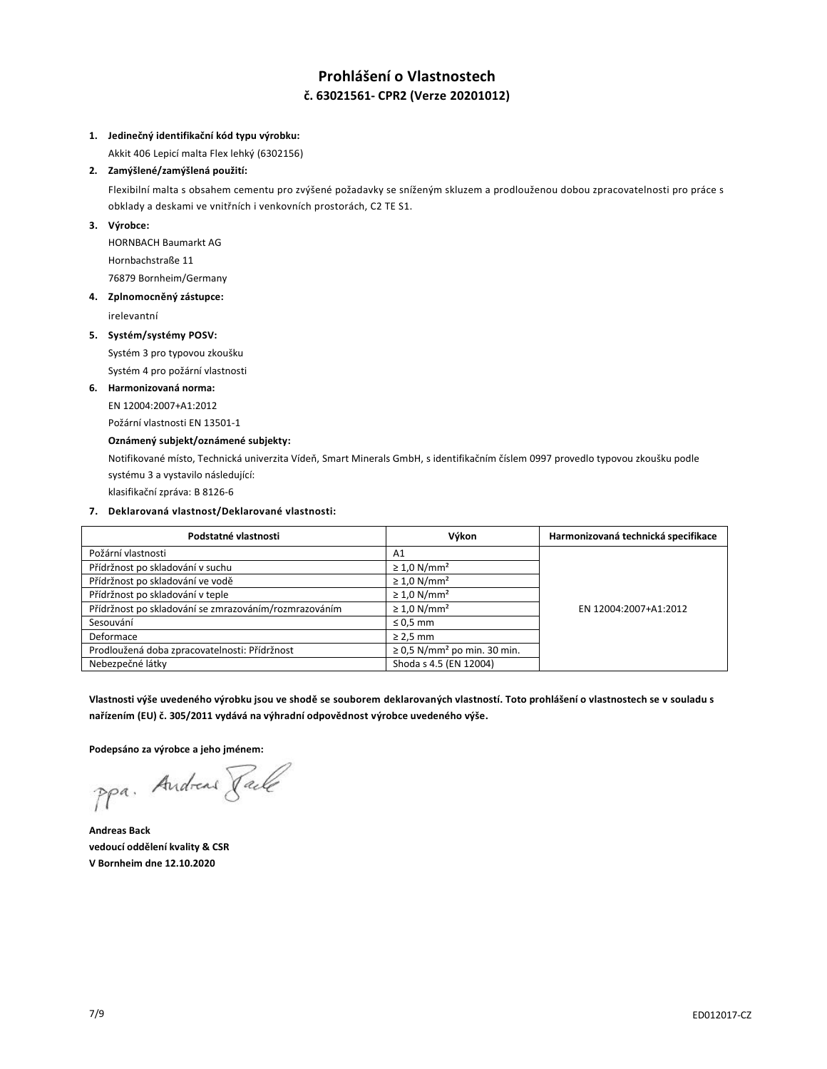## **Prohlášení o Vlastnostech č. 63021561- CPR2 (Verze 20201012)**

#### **1. Jedinečný identifikační kód typu výrobku:**

Akkit 406 Lepicí malta Flex lehký (6302156)

## **2. Zamýšlené/zamýšlená použití:**

Flexibilní malta s obsahem cementu pro zvýšené požadavky se sníženým skluzem a prodlouženou dobou zpracovatelnosti pro práce s obklady a deskami ve vnitřních i venkovních prostorách, C2 TE S1.

## **3. Výrobce:**

HORNBACH Baumarkt AG Hornbachstraße 11 76879 Bornheim/Germany

## **4. Zplnomocněný zástupce:**

irelevantní

## **5. Systém/systémy POSV:**

Systém 3 pro typovou zkoušku

Systém 4 pro požární vlastnosti

## **6. Harmonizovaná norma:**

EN 12004:2007+A1:2012

# Požární vlastnosti EN 13501-1

**Oznámený subjekt/oznámené subjekty:**

Notifikované místo, Technická univerzita Vídeň, Smart Minerals GmbH, s identifikačním číslem 0997 provedlo typovou zkoušku podle systému 3 a vystavilo následující:

klasifikační zpráva: B 8126-6

## **7. Deklarovaná vlastnost/Deklarované vlastnosti:**

| Podstatné vlastnosti                                  | Výkon                                        | Harmonizovaná technická specifikace |
|-------------------------------------------------------|----------------------------------------------|-------------------------------------|
| Požární vlastnosti                                    | A <sub>1</sub>                               |                                     |
| Přídržnost po skladování v suchu                      | $\geq 1.0$ N/mm <sup>2</sup>                 |                                     |
| Přídržnost po skladování ve vodě                      | $\geq 1.0$ N/mm <sup>2</sup>                 |                                     |
| Přídržnost po skladování v teple                      | $\geq 1.0$ N/mm <sup>2</sup>                 |                                     |
| Přídržnost po skladování se zmrazováním/rozmrazováním | $\geq 1.0$ N/mm <sup>2</sup>                 | EN 12004:2007+A1:2012               |
| Sesouvání                                             | $\leq 0.5$ mm                                |                                     |
| Deformace                                             | $\geq$ 2,5 mm                                |                                     |
| Prodloužená doba zpracovatelnosti: Přídržnost         | $\geq$ 0.5 N/mm <sup>2</sup> po min. 30 min. |                                     |
| Nebezpečné látky                                      | Shoda s 4.5 (EN 12004)                       |                                     |

**Vlastnosti výše uvedeného výrobku jsou ve shodě se souborem deklarovaných vlastností. Toto prohlášení o vlastnostech se v souladu s nařízením (EU) č. 305/2011 vydává na výhradní odpovědnost výrobce uvedeného výše.**

**Podepsáno za výrobce a jeho jménem:**

ppa. Andreas Pale

**Andreas Back vedoucí oddělení kvality & CSR V Bornheim dne 12.10.2020**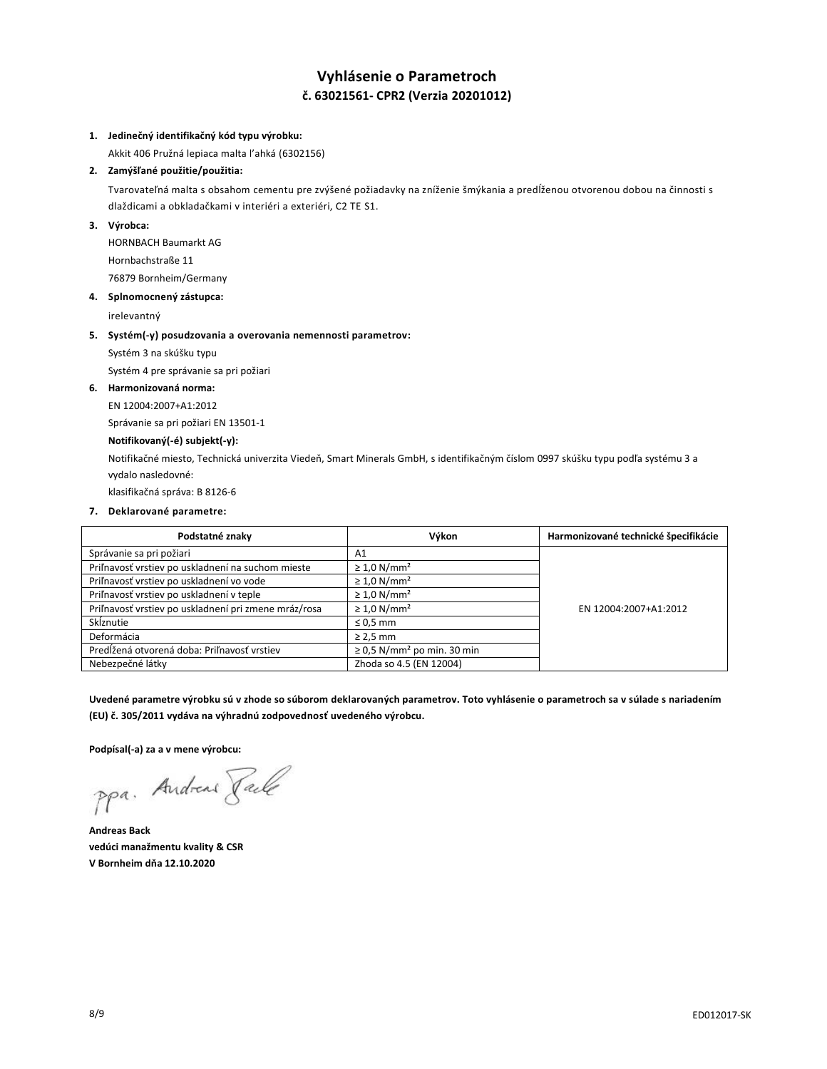## **Vyhlásenie o Parametroch č. 63021561- CPR2 (Verzia 20201012)**

#### **1. Jedinečný identifikačný kód typu výrobku:**

Akkit 406 Pružná lepiaca malta l'ahká (6302156)

## **2. Zamýšľané použitie/použitia:**

Tvarovateľná malta s obsahom cementu pre zvýšené požiadavky na zníženie šmýkania a predĺženou otvorenou dobou na činnosti s dlaždicami a obkladačkami v interiéri a exteriéri, C2 TE S1.

### **3. Výrobca:**

HORNBACH Baumarkt AG Hornbachstraße 11 76879 Bornheim/Germany

## **4. Splnomocnený zástupca:**

irelevantný

#### **5. Systém(-y) posudzovania a overovania nemennosti parametrov:**

Systém 3 na skúšku typu

Systém 4 pre správanie sa pri požiari

#### **6. Harmonizovaná norma:**

EN 12004:2007+A1:2012

Správanie sa pri požiari EN 13501-1

## **Notifikovaný(-é) subjekt(-y):**

Notifikačné miesto, Technická univerzita Viedeň, Smart Minerals GmbH, s identifikačným číslom 0997 skúšku typu podľa systému 3 a vydalo nasledovné:

klasifikačná správa: B 8126-6

### **7. Deklarované parametre:**

| Podstatné znaky                                      | Výkon                                       | Harmonizované technické špecifikácie |
|------------------------------------------------------|---------------------------------------------|--------------------------------------|
| Správanie sa pri požiari                             | A1                                          |                                      |
| Priľnavosť vrstiev po uskladnení na suchom mieste    | $\geq 1.0$ N/mm <sup>2</sup>                |                                      |
| Priľnavosť vrstiev po uskladnení vo vode             | $\geq 1.0$ N/mm <sup>2</sup>                |                                      |
| Priľnavosť vrstiev po uskladnení v teple             | $\geq 1.0$ N/mm <sup>2</sup>                |                                      |
| Priľnavosť vrstiev po uskladnení pri zmene mráz/rosa | $\geq 1.0$ N/mm <sup>2</sup>                | EN 12004:2007+A1:2012                |
| Sklznutie                                            | $\leq 0.5$ mm                               |                                      |
| Deformácia                                           | $\geq$ 2,5 mm                               |                                      |
| Predĺžená otvorená doba: Priľnavosť vrstiev          | $\geq$ 0,5 N/mm <sup>2</sup> po min. 30 min |                                      |
| Nebezpečné látky                                     | Zhoda so 4.5 (EN 12004)                     |                                      |

**Uvedené parametre výrobku sú v zhode so súborom deklarovaných parametrov. Toto vyhlásenie o parametroch sa v súlade s nariadením (EU) č. 305/2011 vydáva na výhradnú zodpovednosť uvedeného výrobcu.**

**Podpísal(-a) za a v mene výrobcu:**

ppa. Andreas Faile

**Andreas Back vedúci manažmentu kvality & CSR V Bornheim dňa 12.10.2020**